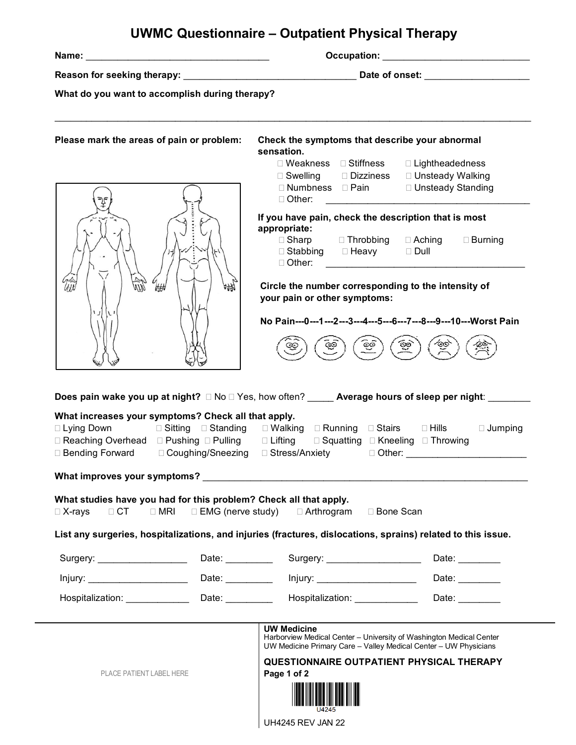## **UWMC Questionnaire – Outpatient Physical Therapy**

| What do you want to accomplish during therapy?                                                                                |                                                                                                                                                                                                                                                                                                                                  |
|-------------------------------------------------------------------------------------------------------------------------------|----------------------------------------------------------------------------------------------------------------------------------------------------------------------------------------------------------------------------------------------------------------------------------------------------------------------------------|
| Please mark the areas of pain or problem:                                                                                     | Check the symptoms that describe your abnormal<br>sensation.<br>□ Weakness □ Stiffness<br>□ Lightheadedness<br>□ Swelling □ Dizziness □ Unsteady Walking                                                                                                                                                                         |
|                                                                                                                               | □ Numbness □ Pain<br>□ Unsteady Standing<br>□ Other:<br>If you have pain, check the description that is most<br>appropriate:<br>□ Sharp   □ Throbbing  □ Aching<br>$\Box$ Burning<br>□ Stabbing □ Heavy □ Dull<br>D Other: 2000 - 2000 - 2000 - 2000 - 2000 - 2000 - 2000 - 2000 - 2000 - 2000 - 2000 - 2000 - 2000 - 2000 - 200 |
| ₩                                                                                                                             | Circle the number corresponding to the intensity of<br>牌<br>your pain or other symptoms:                                                                                                                                                                                                                                         |
|                                                                                                                               |                                                                                                                                                                                                                                                                                                                                  |
|                                                                                                                               | No Pain---0---1---2---3---4---5---6---7---8---9---10---Worst Pain                                                                                                                                                                                                                                                                |
| What increases your symptoms? Check all that apply.<br>□ Lying Down<br>□ Bending Forward □ Coughing/Sneezing □ Stress/Anxiety | Does pain wake you up at night? □ No □ Yes, how often? ______ Average hours of sleep per night: ________<br>□ Sitting □ Standing  □ Walking  □ Running  □ Stairs   □ Hills<br>$\Box$ Jumping<br>□ Reaching Overhead □ Pushing □ Pulling □ Lifting □ Squatting □ Kneeling □ Throwing<br>□ Other:                                  |
|                                                                                                                               | What improves your symptoms? Noting the control of the control of the control of the control of the control of the control of the control of the control of the control of the control of the control of the control of the co                                                                                                   |
| What studies have you had for this problem? Check all that apply.<br>$\Box$ X-rays<br>$\Box$ CT $\Box$ MRI                    | □ EMG (nerve study)<br>$\Box$ Arthrogram<br>□ Bone Scan<br>List any surgeries, hospitalizations, and injuries (fractures, dislocations, sprains) related to this issue.                                                                                                                                                          |
| Surgery: ____________________                                                                                                 | Date: $\qquad \qquad$                                                                                                                                                                                                                                                                                                            |
| $Injury: _______$                                                                                                             | Date: ___________  Injury: ______________________<br>Date: $\qquad \qquad$                                                                                                                                                                                                                                                       |
|                                                                                                                               | Hospitalization: _________________Date: ________________Hospitalization: _____________<br>Date: $\qquad \qquad$                                                                                                                                                                                                                  |
| PLACE PATIENT LABEL HERE                                                                                                      | <b>UW Medicine</b><br>Harborview Medical Center - University of Washington Medical Center<br>UW Medicine Primary Care - Valley Medical Center - UW Physicians<br>QUESTIONNAIRE OUTPATIENT PHYSICAL THERAPY<br>Page 1 of 2                                                                                                        |

UH4245 REV JAN 22